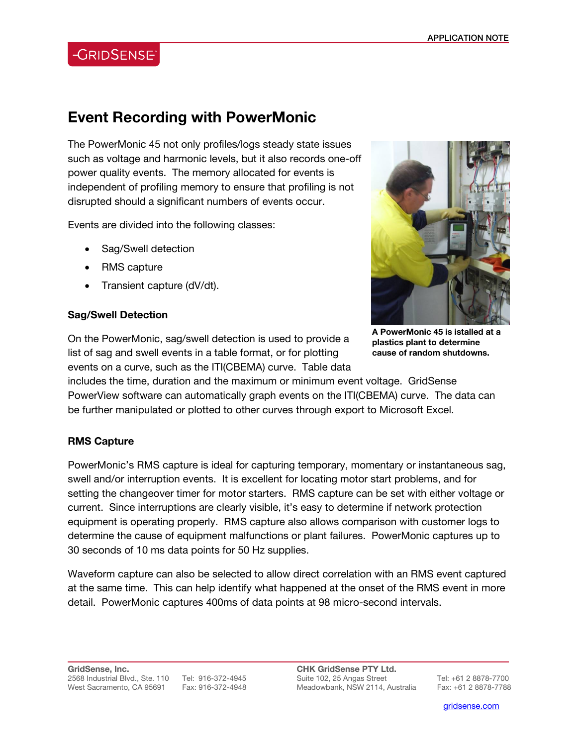### **-GRIDSENSE**

## **Event Recording with PowerMonic**

The PowerMonic 45 not only profiles/logs steady state issues such as voltage and harmonic levels, but it also records one-off power quality events. The memory allocated for events is independent of profiling memory to ensure that profiling is not disrupted should a significant numbers of events occur.

Events are divided into the following classes:

- Sag/Swell detection
- RMS capture
- Transient capture (dV/dt).

#### **Sag/Swell Detection**



**A PowerMonic 45 is istalled at a plastics plant to determine cause of random shutdowns.** 

On the PowerMonic, sag/swell detection is used to provide a list of sag and swell events in a table format, or for plotting events on a curve, such as the ITI(CBEMA) curve. Table data

includes the time, duration and the maximum or minimum event voltage. GridSense PowerView software can automatically graph events on the ITI(CBEMA) curve. The data can be further manipulated or plotted to other curves through export to Microsoft Excel.

### **RMS Capture**

PowerMonic's RMS capture is ideal for capturing temporary, momentary or instantaneous sag, swell and/or interruption events. It is excellent for locating motor start problems, and for setting the changeover timer for motor starters. RMS capture can be set with either voltage or current. Since interruptions are clearly visible, it's easy to determine if network protection equipment is operating properly. RMS capture also allows comparison with customer logs to determine the cause of equipment malfunctions or plant failures. PowerMonic captures up to 30 seconds of 10 ms data points for 50 Hz supplies.

Waveform capture can also be selected to allow direct correlation with an RMS event captured at the same time. This can help identify what happened at the onset of the RMS event in more detail. PowerMonic captures 400ms of data points at 98 micro-second intervals.

**CHK GridSense PTY Ltd.**  Suite 102, 25 Angas Street Tel: +61 2 8878-7700 Meadowbank, NSW 2114, Australia Fax: +61 2 8878-7788

l

gridsense.com i de la companya de la companya de la companya de la companya de la companya de la companya de l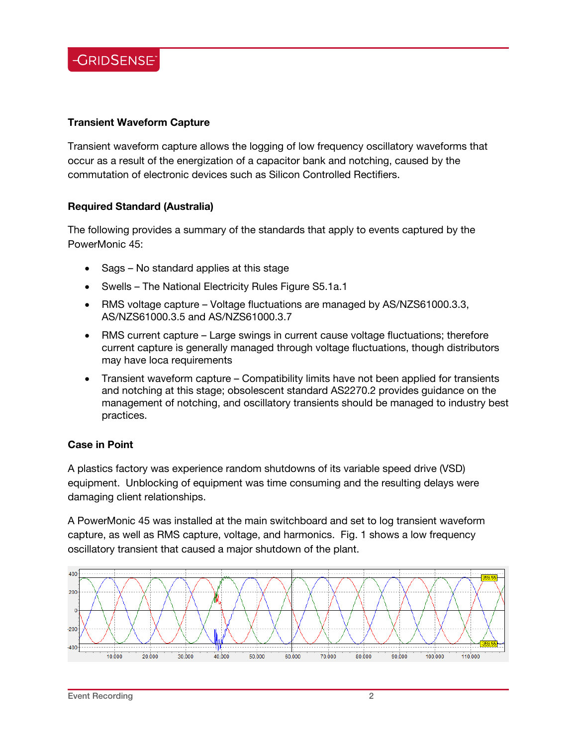

### **Transient Waveform Capture**

Transient waveform capture allows the logging of low frequency oscillatory waveforms that occur as a result of the energization of a capacitor bank and notching, caused by the commutation of electronic devices such as Silicon Controlled Rectifiers.

#### **Required Standard (Australia)**

The following provides a summary of the standards that apply to events captured by the PowerMonic 45:

- Sags No standard applies at this stage
- Swells The National Electricity Rules Figure S5.1a.1
- RMS voltage capture Voltage fluctuations are managed by AS/NZS61000.3.3, AS/NZS61000.3.5 and AS/NZS61000.3.7
- RMS current capture Large swings in current cause voltage fluctuations; therefore current capture is generally managed through voltage fluctuations, though distributors may have loca requirements
- Transient waveform capture Compatibility limits have not been applied for transients and notching at this stage; obsolescent standard AS2270.2 provides guidance on the management of notching, and oscillatory transients should be managed to industry best practices.

#### **Case in Point**

A plastics factory was experience random shutdowns of its variable speed drive (VSD) equipment. Unblocking of equipment was time consuming and the resulting delays were damaging client relationships.

A PowerMonic 45 was installed at the main switchboard and set to log transient waveform capture, as well as RMS capture, voltage, and harmonics. Fig. 1 shows a low frequency oscillatory transient that caused a major shutdown of the plant.



 $\overline{a}$